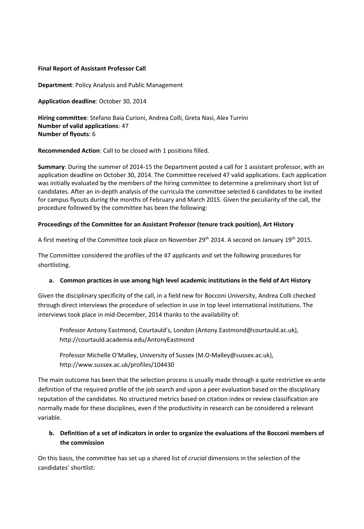### **Final Report of Assistant Professor Call**

**Department**: Policy Analysis and Public Management

**Application deadline**: October 30, 2014

**Hiring committee**: Stefano Baia Curioni, Andrea Colli, Greta Nasi, Alex Turrini **Number of valid applications**: 47 **Number of flyouts**: 6

**Recommended Action**: Call to be closed with 1 positions filled.

**Summary**: During the summer of 2014-15 the Department posted a call for 1 assistant professor, with an application deadline on October 30, 2014. The Committee received 47 valid applications. Each application was initially evaluated by the members of the hiring committee to determine a preliminary short list of candidates. After an in-depth analysis of the curricula the committee selected 6 candidates to be invited for campus flyouts during the months of February and March 2015. Given the peculiarity of the call, the procedure followed by the committee has been the following:

### **Proceedings of the Committee for an Assistant Professor (tenure track position), Art History**

A first meeting of the Committee took place on November 29th 2014. A second on January 19th 2015.

The Committee considered the profiles of the 47 applicants and set the following procedures for shortlisting.

### **a. Common practices in use among high level academic institutions in the field of Art History**

Given the disciplinary specificity of the call, in a field new for Bocconi University, Andrea Colli checked through direct interviews the procedure of selection in use in top level international institutions. The interviews took place in mid-December, 2014 thanks to the availability of:

Professor Antony Eastmond, Courtauld's, London [\(Antony.Eastmond@courtauld.ac.uk\)](mailto:Antony.Eastmond@courtauld.ac.uk), <http://courtauld.academia.edu/AntonyEastmond>

Professor Michelle O'Malley, University of Sussex [\(M.O-Malley@sussex.ac.uk\)](mailto:M.O-Malley@sussex.ac.uk), http://www.sussex.ac.uk/profiles/104430

The main outcome has been that the selection process is usually made through a quite restrictive ex-ante definition of the required profile of the job search and upon a peer evaluation based on the disciplinary reputation of the candidates. No structured metrics based on citation index or review classification are normally made for these disciplines, even if the productivity in research can be considered a relevant variable.

# **b. Definition of a set of indicators in order to organize the evaluations of the Bocconi members of the commission**

On this basis, the committee has set up a shared list of *crucial* dimensions in the selection of the candidates' shortlist: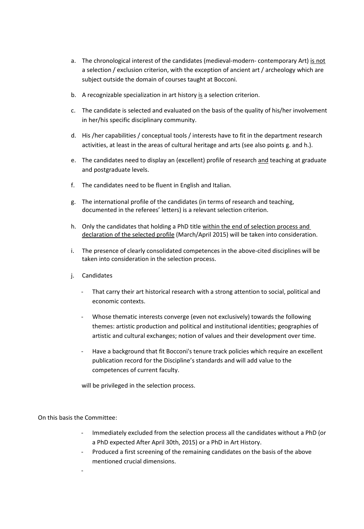- a. The chronological interest of the candidates (medieval-modern- contemporary Art) is not a selection / exclusion criterion, with the exception of ancient art / archeology which are subject outside the domain of courses taught at Bocconi.
- b. A recognizable specialization in art history is a selection criterion.
- c. The candidate is selected and evaluated on the basis of the quality of his/her involvement in her/his specific disciplinary community.
- d. His /her capabilities / conceptual tools / interests have to fit in the department research activities, at least in the areas of cultural heritage and arts (see also points g. and h.).
- e. The candidates need to display an (excellent) profile of research and teaching at graduate and postgraduate levels.
- f. The candidates need to be fluent in English and Italian.
- g. The international profile of the candidates (in terms of research and teaching, documented in the referees' letters) is a relevant selection criterion.
- h. Only the candidates that holding a PhD title within the end of selection process and declaration of the selected profile (March/April 2015) will be taken into consideration.
- i. The presence of clearly consolidated competences in the above-cited disciplines will be taken into consideration in the selection process.
- j. Candidates
	- That carry their art historical research with a strong attention to social, political and economic contexts.
	- Whose thematic interests converge (even not exclusively) towards the following themes: artistic production and political and institutional identities; geographies of artistic and cultural exchanges; notion of values and their development over time.
	- Have a background that fit Bocconi's tenure track policies which require an excellent publication record for the Discipline's standards and will add value to the competences of current faculty.

will be privileged in the selection process.

On this basis the Committee:

-

- Immediately excluded from the selection process all the candidates without a PhD (or a PhD expected After April 30th, 2015) or a PhD in Art History.
- Produced a first screening of the remaining candidates on the basis of the above mentioned crucial dimensions.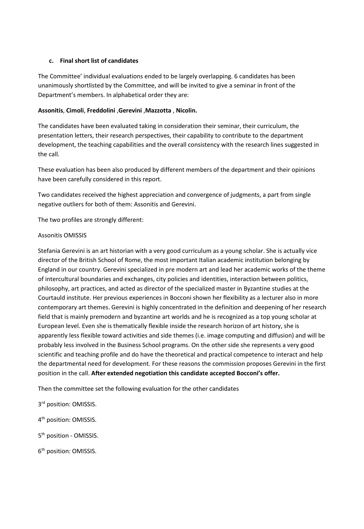## **c. Final short list of candidates**

The Committee' individual evaluations ended to be largely overlapping. 6 candidates has been unanimously shortlisted by the Committee, and will be invited to give a seminar in front of the Department's members. In alphabetical order they are:

## **Assonitis**, **Cimoli**, **Freddolini** ,**Gerevini** ,**Mazzotta** , **Nicolin.**

The candidates have been evaluated taking in consideration their seminar, their curriculum, the presentation letters, their research perspectives, their capability to contribute to the department development, the teaching capabilities and the overall consistency with the research lines suggested in the call.

These evaluation has been also produced by different members of the department and their opinions have been carefully considered in this report.

Two candidates received the highest appreciation and convergence of judgments, a part from single negative outliers for both of them: Assonitis and Gerevini.

The two profiles are strongly different:

## Assonitis OMISSIS

Stefania Gerevini is an art historian with a very good curriculum as a young scholar. She is actually vice director of the British School of Rome, the most important Italian academic institution belonging by England in our country. Gerevini specialized in pre modern art and lead her academic works of the theme of intercultural boundaries and exchanges, city policies and identities, interaction between politics, philosophy, art practices, and acted as director of the specialized master in Byzantine studies at the Courtauld institute. Her previous experiences in Bocconi shown her flexibility as a lecturer also in more contemporary art themes. Gerevini is highly concentrated in the definition and deepening of her research field that is mainly premodern and byzantine art worlds and he is recognized as a top young scholar at European level. Even she is thematically flexible inside the research horizon of art history, she is apparently less flexible toward activities and side themes (i.e. image computing and diffusion) and will be probably less involved in the Business School programs. On the other side she represents a very good scientific and teaching profile and do have the theoretical and practical competence to interact and help the departmental need for development. For these reasons the commission proposes Gerevini in the first position in the call. **After extended negotiation this candidate accepted Bocconi's offer.**

Then the committee set the following evaluation for the other candidates

3<sup>rd</sup> position: OMISSIS.

4th position: OMISSIS.

5<sup>th</sup> position - OMISSIS.

6<sup>th</sup> position: OMISSIS.